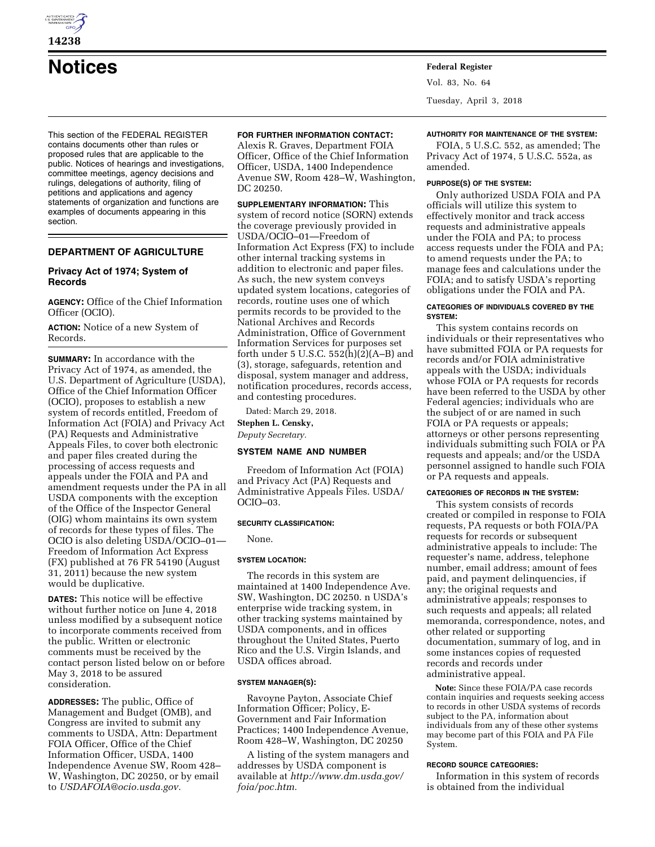

# **Notices Federal Register**

This section of the FEDERAL REGISTER contains documents other than rules or proposed rules that are applicable to the public. Notices of hearings and investigations, committee meetings, agency decisions and rulings, delegations of authority, filing of petitions and applications and agency statements of organization and functions are examples of documents appearing in this section.

### **DEPARTMENT OF AGRICULTURE**

#### **Privacy Act of 1974; System of Records**

**AGENCY:** Office of the Chief Information Officer (OCIO).

**ACTION:** Notice of a new System of Records.

**SUMMARY:** In accordance with the Privacy Act of 1974, as amended, the U.S. Department of Agriculture (USDA), Office of the Chief Information Officer (OCIO), proposes to establish a new system of records entitled, Freedom of Information Act (FOIA) and Privacy Act (PA) Requests and Administrative Appeals Files, to cover both electronic and paper files created during the processing of access requests and appeals under the FOIA and PA and amendment requests under the PA in all USDA components with the exception of the Office of the Inspector General (OIG) whom maintains its own system of records for these types of files. The OCIO is also deleting USDA/OCIO–01— Freedom of Information Act Express (FX) published at 76 FR 54190 (August 31, 2011) because the new system would be duplicative.

**DATES:** This notice will be effective without further notice on June 4, 2018 unless modified by a subsequent notice to incorporate comments received from the public. Written or electronic comments must be received by the contact person listed below on or before May 3, 2018 to be assured consideration.

**ADDRESSES:** The public, Office of Management and Budget (OMB), and Congress are invited to submit any comments to USDA, Attn: Department FOIA Officer, Office of the Chief Information Officer, USDA, 1400 Independence Avenue SW, Room 428– W, Washington, DC 20250, or by email to *[USDAFOIA@ocio.usda.gov.](mailto:USDAFOIA@ocio.usda.gov)* 

#### **FOR FURTHER INFORMATION CONTACT:**

Alexis R. Graves, Department FOIA Officer, Office of the Chief Information Officer, USDA, 1400 Independence Avenue SW, Room 428–W, Washington, DC 20250.

**SUPPLEMENTARY INFORMATION:** This system of record notice (SORN) extends the coverage previously provided in USDA/OCIO–01—Freedom of Information Act Express (FX) to include other internal tracking systems in addition to electronic and paper files. As such, the new system conveys updated system locations, categories of records, routine uses one of which permits records to be provided to the National Archives and Records Administration, Office of Government Information Services for purposes set forth under  $5$  U.S.C.  $552(h)(2)(A-B)$  and (3), storage, safeguards, retention and disposal, system manager and address, notification procedures, records access, and contesting procedures.

Dated: March 29, 2018.

**Stephen L. Censky,** 

*Deputy Secretary.* 

# **SYSTEM NAME AND NUMBER**

Freedom of Information Act (FOIA) and Privacy Act (PA) Requests and Administrative Appeals Files. USDA/ OCIO–03.

#### **SECURITY CLASSIFICATION:**

None.

#### **SYSTEM LOCATION:**

The records in this system are maintained at 1400 Independence Ave. SW, Washington, DC 20250. n USDA's enterprise wide tracking system, in other tracking systems maintained by USDA components, and in offices throughout the United States, Puerto Rico and the U.S. Virgin Islands, and USDA offices abroad.

#### **SYSTEM MANAGER(S):**

Ravoyne Payton, Associate Chief Information Officer; Policy, E-Government and Fair Information Practices; 1400 Independence Avenue, Room 428–W, Washington, DC 20250

A listing of the system managers and addresses by USDA component is available at *[http://www.dm.usda.gov/](http://www.dm.usda.gov/foia/poc.htm) [foia/poc.htm.](http://www.dm.usda.gov/foia/poc.htm)* 

Vol. 83, No. 64

Tuesday, April 3, 2018

# **AUTHORITY FOR MAINTENANCE OF THE SYSTEM:**

FOIA, 5 U.S.C. 552, as amended; The Privacy Act of 1974, 5 U.S.C. 552a, as amended.

#### **PURPOSE(S) OF THE SYSTEM:**

Only authorized USDA FOIA and PA officials will utilize this system to effectively monitor and track access requests and administrative appeals under the FOIA and PA; to process access requests under the FOIA and PA; to amend requests under the PA; to manage fees and calculations under the FOIA; and to satisfy USDA's reporting obligations under the FOIA and PA.

#### **CATEGORIES OF INDIVIDUALS COVERED BY THE SYSTEM:**

This system contains records on individuals or their representatives who have submitted FOIA or PA requests for records and/or FOIA administrative appeals with the USDA; individuals whose FOIA or PA requests for records have been referred to the USDA by other Federal agencies; individuals who are the subject of or are named in such FOIA or PA requests or appeals; attorneys or other persons representing individuals submitting such FOIA or PA requests and appeals; and/or the USDA personnel assigned to handle such FOIA or PA requests and appeals.

#### **CATEGORIES OF RECORDS IN THE SYSTEM:**

This system consists of records created or compiled in response to FOIA requests, PA requests or both FOIA/PA requests for records or subsequent administrative appeals to include: The requester's name, address, telephone number, email address; amount of fees paid, and payment delinquencies, if any; the original requests and administrative appeals; responses to such requests and appeals; all related memoranda, correspondence, notes, and other related or supporting documentation, summary of log, and in some instances copies of requested records and records under administrative appeal.

**Note:** Since these FOIA/PA case records contain inquiries and requests seeking access to records in other USDA systems of records subject to the PA, information about individuals from any of these other systems may become part of this FOIA and PA File System.

#### **RECORD SOURCE CATEGORIES:**

Information in this system of records is obtained from the individual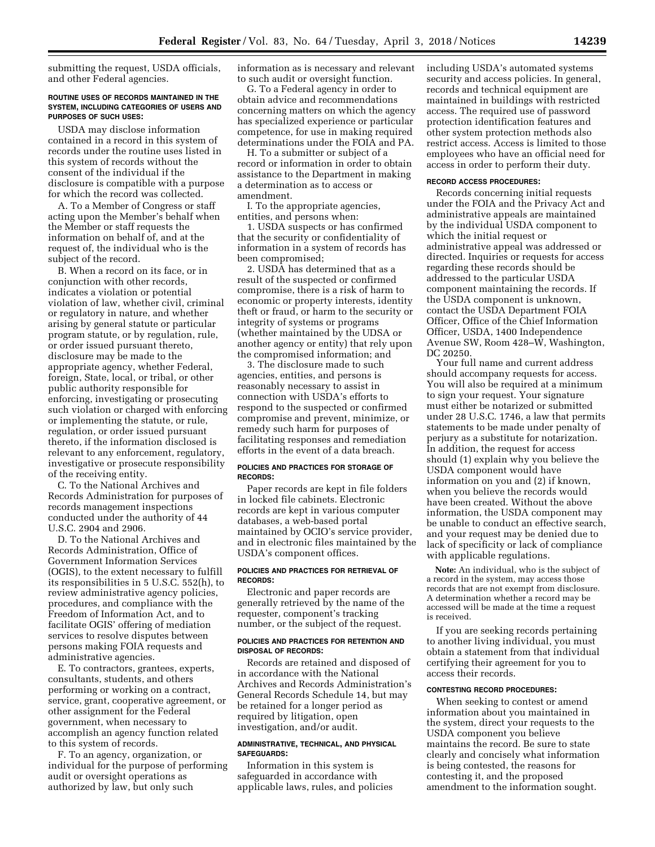submitting the request, USDA officials, and other Federal agencies.

#### **ROUTINE USES OF RECORDS MAINTAINED IN THE SYSTEM, INCLUDING CATEGORIES OF USERS AND PURPOSES OF SUCH USES:**

USDA may disclose information contained in a record in this system of records under the routine uses listed in this system of records without the consent of the individual if the disclosure is compatible with a purpose for which the record was collected.

A. To a Member of Congress or staff acting upon the Member's behalf when the Member or staff requests the information on behalf of, and at the request of, the individual who is the subject of the record.

B. When a record on its face, or in conjunction with other records, indicates a violation or potential violation of law, whether civil, criminal or regulatory in nature, and whether arising by general statute or particular program statute, or by regulation, rule, or order issued pursuant thereto, disclosure may be made to the appropriate agency, whether Federal, foreign, State, local, or tribal, or other public authority responsible for enforcing, investigating or prosecuting such violation or charged with enforcing or implementing the statute, or rule, regulation, or order issued pursuant thereto, if the information disclosed is relevant to any enforcement, regulatory, investigative or prosecute responsibility of the receiving entity.

C. To the National Archives and Records Administration for purposes of records management inspections conducted under the authority of 44 U.S.C. 2904 and 2906.

D. To the National Archives and Records Administration, Office of Government Information Services (OGIS), to the extent necessary to fulfill its responsibilities in 5 U.S.C. 552(h), to review administrative agency policies, procedures, and compliance with the Freedom of Information Act, and to facilitate OGIS' offering of mediation services to resolve disputes between persons making FOIA requests and administrative agencies.

E. To contractors, grantees, experts, consultants, students, and others performing or working on a contract, service, grant, cooperative agreement, or other assignment for the Federal government, when necessary to accomplish an agency function related to this system of records.

F. To an agency, organization, or individual for the purpose of performing audit or oversight operations as authorized by law, but only such

information as is necessary and relevant to such audit or oversight function.

G. To a Federal agency in order to obtain advice and recommendations concerning matters on which the agency has specialized experience or particular competence, for use in making required determinations under the FOIA and PA.

H. To a submitter or subject of a record or information in order to obtain assistance to the Department in making a determination as to access or amendment.

I. To the appropriate agencies, entities, and persons when:

1. USDA suspects or has confirmed that the security or confidentiality of information in a system of records has been compromised;

2. USDA has determined that as a result of the suspected or confirmed compromise, there is a risk of harm to economic or property interests, identity theft or fraud, or harm to the security or integrity of systems or programs (whether maintained by the UDSA or another agency or entity) that rely upon the compromised information; and

3. The disclosure made to such agencies, entities, and persons is reasonably necessary to assist in connection with USDA's efforts to respond to the suspected or confirmed compromise and prevent, minimize, or remedy such harm for purposes of facilitating responses and remediation efforts in the event of a data breach.

#### **POLICIES AND PRACTICES FOR STORAGE OF RECORDS:**

Paper records are kept in file folders in locked file cabinets. Electronic records are kept in various computer databases, a web-based portal maintained by OCIO's service provider, and in electronic files maintained by the USDA's component offices.

#### **POLICIES AND PRACTICES FOR RETRIEVAL OF RECORDS:**

Electronic and paper records are generally retrieved by the name of the requester, component's tracking number, or the subject of the request.

#### **POLICIES AND PRACTICES FOR RETENTION AND DISPOSAL OF RECORDS:**

Records are retained and disposed of in accordance with the National Archives and Records Administration's General Records Schedule 14, but may be retained for a longer period as required by litigation, open investigation, and/or audit.

#### **ADMINISTRATIVE, TECHNICAL, AND PHYSICAL SAFEGUARDS:**

Information in this system is safeguarded in accordance with applicable laws, rules, and policies including USDA's automated systems security and access policies. In general, records and technical equipment are maintained in buildings with restricted access. The required use of password protection identification features and other system protection methods also restrict access. Access is limited to those employees who have an official need for access in order to perform their duty.

#### **RECORD ACCESS PROCEDURES:**

Records concerning initial requests under the FOIA and the Privacy Act and administrative appeals are maintained by the individual USDA component to which the initial request or administrative appeal was addressed or directed. Inquiries or requests for access regarding these records should be addressed to the particular USDA component maintaining the records. If the USDA component is unknown, contact the USDA Department FOIA Officer, Office of the Chief Information Officer, USDA, 1400 Independence Avenue SW, Room 428–W, Washington, DC 20250.

Your full name and current address should accompany requests for access. You will also be required at a minimum to sign your request. Your signature must either be notarized or submitted under 28 U.S.C. 1746, a law that permits statements to be made under penalty of perjury as a substitute for notarization. In addition, the request for access should (1) explain why you believe the USDA component would have information on you and (2) if known, when you believe the records would have been created. Without the above information, the USDA component may be unable to conduct an effective search, and your request may be denied due to lack of specificity or lack of compliance with applicable regulations.

**Note:** An individual, who is the subject of a record in the system, may access those records that are not exempt from disclosure. A determination whether a record may be accessed will be made at the time a request is received.

If you are seeking records pertaining to another living individual, you must obtain a statement from that individual certifying their agreement for you to access their records.

#### **CONTESTING RECORD PROCEDURES:**

When seeking to contest or amend information about you maintained in the system, direct your requests to the USDA component you believe maintains the record. Be sure to state clearly and concisely what information is being contested, the reasons for contesting it, and the proposed amendment to the information sought.